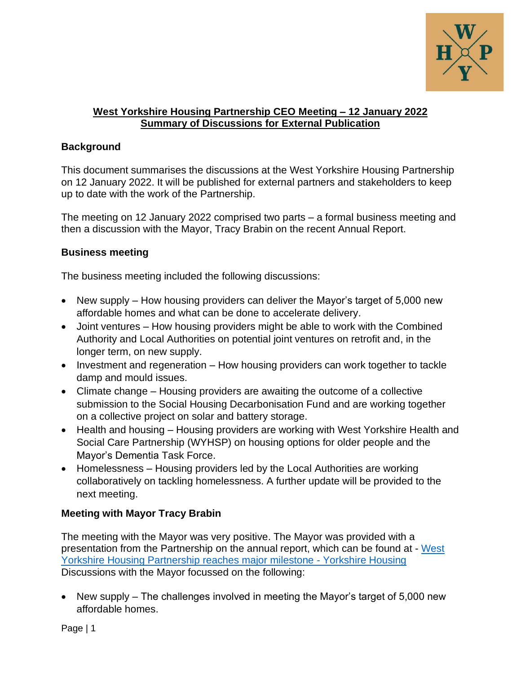

## **West Yorkshire Housing Partnership CEO Meeting – 12 January 2022 Summary of Discussions for External Publication**

## **Background**

This document summarises the discussions at the West Yorkshire Housing Partnership on 12 January 2022. It will be published for external partners and stakeholders to keep up to date with the work of the Partnership.

The meeting on 12 January 2022 comprised two parts – a formal business meeting and then a discussion with the Mayor, Tracy Brabin on the recent Annual Report.

## **Business meeting**

The business meeting included the following discussions:

- New supply How housing providers can deliver the Mayor's target of 5,000 new affordable homes and what can be done to accelerate delivery.
- Joint ventures How housing providers might be able to work with the Combined Authority and Local Authorities on potential joint ventures on retrofit and, in the longer term, on new supply.
- Investment and regeneration How housing providers can work together to tackle damp and mould issues.
- Climate change Housing providers are awaiting the outcome of a collective submission to the Social Housing Decarbonisation Fund and are working together on a collective project on solar and battery storage.
- Health and housing Housing providers are working with West Yorkshire Health and Social Care Partnership (WYHSP) on housing options for older people and the Mayor's Dementia Task Force.
- Homelessness Housing providers led by the Local Authorities are working collaboratively on tackling homelessness. A further update will be provided to the next meeting.

## **Meeting with Mayor Tracy Brabin**

The meeting with the Mayor was very positive. The Mayor was provided with a presentation from the Partnership on the annual report, which can be found at - [West](https://www.yorkshirehousing.co.uk/news/west-yorkshire-housing-partnership-reaches-major-milestone/)  [Yorkshire Housing Partnership reaches major milestone -](https://www.yorkshirehousing.co.uk/news/west-yorkshire-housing-partnership-reaches-major-milestone/) Yorkshire Housing Discussions with the Mayor focussed on the following:

• New supply – The challenges involved in meeting the Mayor's target of 5,000 new affordable homes.